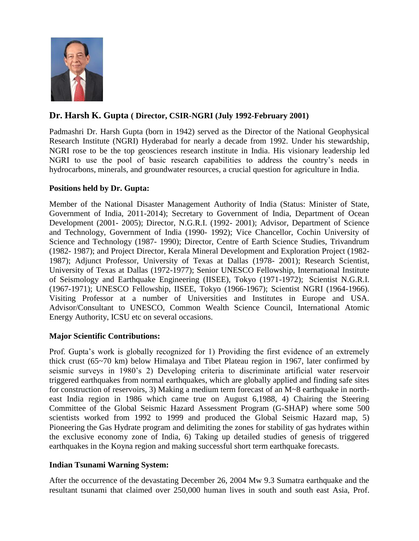

# **Dr. Harsh K. Gupta ( Director, CSIR-NGRI (July 1992-February 2001)**

Padmashri Dr. Harsh Gupta (born in 1942) served as the Director of the National Geophysical Research Institute (NGRI) Hyderabad for nearly a decade from 1992. Under his stewardship, NGRI rose to be the top geosciences research institute in India. His visionary leadership led NGRI to use the pool of basic research capabilities to address the country's needs in hydrocarbons, minerals, and groundwater resources, a crucial question for agriculture in India.

## **Positions held by Dr. Gupta:**

Member of the National Disaster Management Authority of India (Status: Minister of State, Government of India, 2011-2014); Secretary to Government of India, Department of Ocean Development (2001- 2005); Director, N.G.R.I. (1992- 2001); Advisor, Department of Science and Technology, Government of India (1990- 1992); Vice Chancellor, Cochin University of Science and Technology (1987- 1990); Director, Centre of Earth Science Studies, Trivandrum (1982- 1987); and Project Director, Kerala Mineral Development and Exploration Project (1982- 1987); Adjunct Professor, University of Texas at Dallas (1978- 2001); Research Scientist, University of Texas at Dallas (1972-1977); Senior UNESCO Fellowship, International Institute of Seismology and Earthquake Engineering (IISEE), Tokyo (1971-1972); Scientist N.G.R.I. (1967-1971); UNESCO Fellowship, IISEE, Tokyo (1966-1967); Scientist NGRI (1964-1966). Visiting Professor at a number of Universities and Institutes in Europe and USA. Advisor/Consultant to UNESCO, Common Wealth Science Council, International Atomic Energy Authority, ICSU etc on several occasions.

#### **Major Scientific Contributions:**

Prof. Gupta's work is globally recognized for 1) Providing the first evidence of an extremely thick crust (65~70 km) below Himalaya and Tibet Plateau region in 1967, later confirmed by seismic surveys in 1980's 2) Developing criteria to discriminate artificial water reservoir triggered earthquakes from normal earthquakes, which are globally applied and finding safe sites for construction of reservoirs, 3) Making a medium term forecast of an M~8 earthquake in northeast India region in 1986 which came true on August 6,1988, 4) Chairing the Steering Committee of the Global Seismic Hazard Assessment Program (G-SHAP) where some 500 scientists worked from 1992 to 1999 and produced the Global Seismic Hazard map, 5) Pioneering the Gas Hydrate program and delimiting the zones for stability of gas hydrates within the exclusive economy zone of India, 6) Taking up detailed studies of genesis of triggered earthquakes in the Koyna region and making successful short term earthquake forecasts.

#### **Indian Tsunami Warning System:**

After the occurrence of the devastating December 26, 2004 Mw 9.3 Sumatra earthquake and the resultant tsunami that claimed over 250,000 human lives in south and south east Asia, Prof.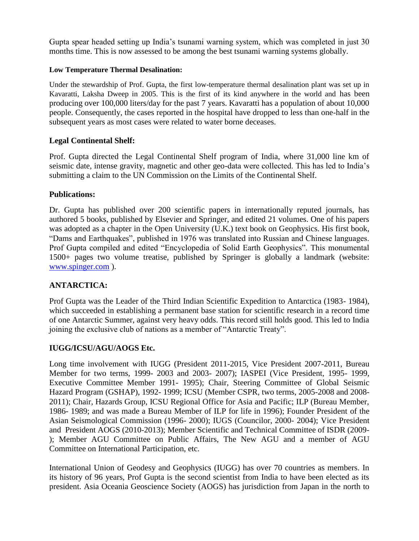Gupta spear headed setting up India's tsunami warning system, which was completed in just 30 months time. This is now assessed to be among the best tsunami warning systems globally.

### **Low Temperature Thermal Desalination:**

Under the stewardship of Prof. Gupta, the first low-temperature thermal desalination plant was set up in Kavaratti, Laksha Dweep in 2005. This is the first of its kind anywhere in the world and has been producing over 100,000 liters/day for the past 7 years. Kavaratti has a population of about 10,000 people. Consequently, the cases reported in the hospital have dropped to less than one-half in the subsequent years as most cases were related to water borne deceases.

### **Legal Continental Shelf:**

Prof. Gupta directed the Legal Continental Shelf program of India, where 31,000 line km of seismic date, intense gravity, magnetic and other geo-data were collected. This has led to India's submitting a claim to the UN Commission on the Limits of the Continental Shelf.

### **Publications:**

Dr. Gupta has published over 200 scientific papers in internationally reputed journals, has authored 5 books, published by Elsevier and Springer, and edited 21 volumes. One of his papers was adopted as a chapter in the Open University (U.K.) text book on Geophysics. His first book, "Dams and Earthquakes", published in 1976 was translated into Russian and Chinese languages. Prof Gupta compiled and edited "Encyclopedia of Solid Earth Geophysics". This monumental 1500+ pages two volume treatise, published by Springer is globally a landmark (website: [www.spinger.com](http://www.spinger.com/) ).

## **ANTARCTICA:**

Prof Gupta was the Leader of the Third Indian Scientific Expedition to Antarctica (1983- 1984), which succeeded in establishing a permanent base station for scientific research in a record time of one Antarctic Summer, against very heavy odds. This record still holds good. This led to India joining the exclusive club of nations as a member of "Antarctic Treaty".

## **IUGG/ICSU/AGU/AOGS Etc.**

Long time involvement with IUGG (President 2011-2015, Vice President 2007-2011, Bureau Member for two terms, 1999- 2003 and 2003- 2007); IASPEI (Vice President, 1995- 1999, Executive Committee Member 1991- 1995); Chair, Steering Committee of Global Seismic Hazard Program (GSHAP), 1992- 1999; ICSU (Member CSPR, two terms, 2005-2008 and 2008- 2011); Chair, Hazards Group, ICSU Regional Office for Asia and Pacific; ILP (Bureau Member, 1986- 1989; and was made a Bureau Member of ILP for life in 1996); Founder President of the Asian Seismological Commission (1996- 2000); IUGS (Councilor, 2000- 2004); Vice President and President AOGS (2010-2013); Member Scientific and Technical Committee of ISDR (2009- ); Member AGU Committee on Public Affairs, The New AGU and a member of AGU Committee on International Participation, etc.

International Union of Geodesy and Geophysics (IUGG) has over 70 countries as members. In its history of 96 years, Prof Gupta is the second scientist from India to have been elected as its president. Asia Oceania Geoscience Society (AOGS) has jurisdiction from Japan in the north to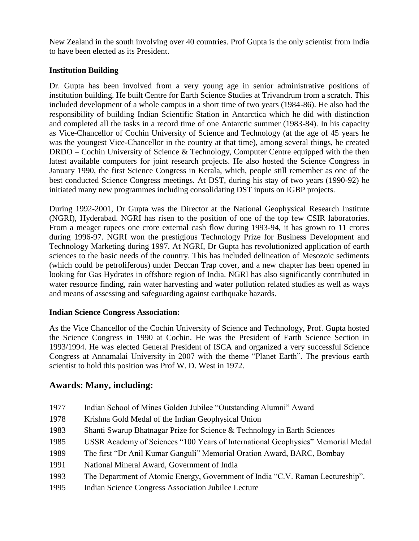New Zealand in the south involving over 40 countries. Prof Gupta is the only scientist from India to have been elected as its President.

## **Institution Building**

Dr. Gupta has been involved from a very young age in senior administrative positions of institution building. He built Centre for Earth Science Studies at Trivandrum from a scratch. This included development of a whole campus in a short time of two years (1984-86). He also had the responsibility of building Indian Scientific Station in Antarctica which he did with distinction and completed all the tasks in a record time of one Antarctic summer (1983-84). In his capacity as Vice-Chancellor of Cochin University of Science and Technology (at the age of 45 years he was the youngest Vice-Chancellor in the country at that time), among several things, he created DRDO – Cochin University of Science & Technology, Computer Centre equipped with the then latest available computers for joint research projects. He also hosted the Science Congress in January 1990, the first Science Congress in Kerala, which, people still remember as one of the best conducted Science Congress meetings. At DST, during his stay of two years (1990-92) he initiated many new programmes including consolidating DST inputs on IGBP projects.

During 1992-2001, Dr Gupta was the Director at the National Geophysical Research Institute (NGRI), Hyderabad. NGRI has risen to the position of one of the top few CSIR laboratories. From a meager rupees one crore external cash flow during 1993-94, it has grown to 11 crores during 1996-97. NGRI won the prestigious Technology Prize for Business Development and Technology Marketing during 1997. At NGRI, Dr Gupta has revolutionized application of earth sciences to the basic needs of the country. This has included delineation of Mesozoic sediments (which could be petroliferous) under Deccan Trap cover, and a new chapter has been opened in looking for Gas Hydrates in offshore region of India. NGRI has also significantly contributed in water resource finding, rain water harvesting and water pollution related studies as well as ways and means of assessing and safeguarding against earthquake hazards.

## **Indian Science Congress Association:**

As the Vice Chancellor of the Cochin University of Science and Technology, Prof. Gupta hosted the Science Congress in 1990 at Cochin. He was the President of Earth Science Section in 1993/1994. He was elected General President of ISCA and organized a very successful Science Congress at Annamalai University in 2007 with the theme "Planet Earth". The previous earth scientist to hold this position was Prof W. D. West in 1972.

# **Awards: Many, including:**

- 1977 Indian School of Mines Golden Jubilee "Outstanding Alumni" Award
- 1978 Krishna Gold Medal of the Indian Geophysical Union
- 1983 Shanti Swarup Bhatnagar Prize for Science & Technology in Earth Sciences
- 1985 USSR Academy of Sciences "100 Years of International Geophysics" Memorial Medal
- 1989 The first "Dr Anil Kumar Ganguli" Memorial Oration Award, BARC, Bombay
- 1991 National Mineral Award, Government of India
- 1993 The Department of Atomic Energy, Government of India "C.V. Raman Lectureship".
- 1995 Indian Science Congress Association Jubilee Lecture